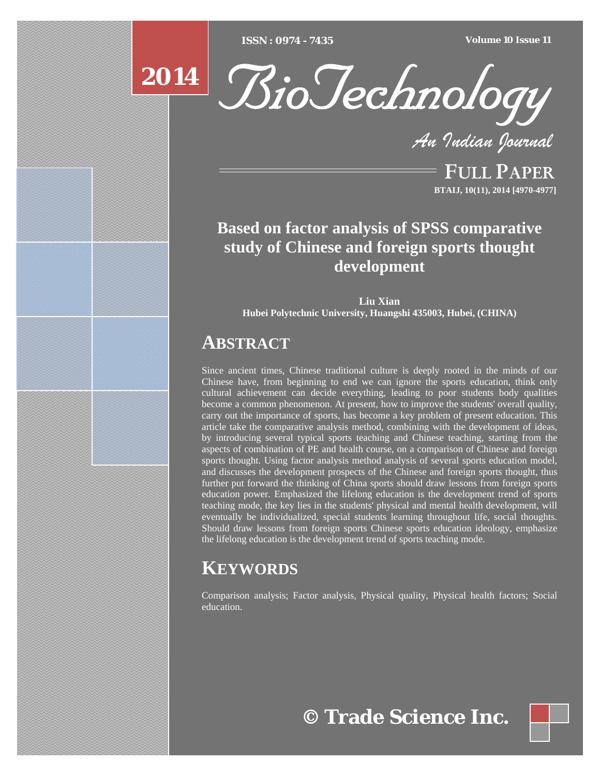[Type text] [Type text] [Type text] *ISSN : 0974 - 7435 Volume 10 Issue 11*



*An Indian Journal*

FULL PAPER **BTAIJ, 10(11), 2014 [4970-4977]**

# **Based on factor analysis of SPSS comparative study of Chinese and foreign sports thought development**

**Liu Xian Hubei Polytechnic University, Huangshi 435003, Hubei, (CHINA)**

# **ABSTRACT**

Since ancient times, Chinese traditional culture is deeply rooted in the minds of our Chinese have, from beginning to end we can ignore the sports education, think only cultural achievement can decide everything, leading to poor students body qualities become a common phenomenon. At present, how to improve the students' overall quality, carry out the importance of sports, has become a key problem of present education. This article take the comparative analysis method, combining with the development of ideas, by introducing several typical sports teaching and Chinese teaching, starting from the aspects of combination of PE and health course, on a comparison of Chinese and foreign sports thought. Using factor analysis method analysis of several sports education model, and discusses the development prospects of the Chinese and foreign sports thought, thus further put forward the thinking of China sports should draw lessons from foreign sports education power. Emphasized the lifelong education is the development trend of sports teaching mode, the key lies in the students' physical and mental health development, will eventually be individualized, special students learning throughout life, social thoughts. Should draw lessons from foreign sports Chinese sports education ideology, emphasize the lifelong education is the development trend of sports teaching mode.

# **KEYWORDS**

Comparison analysis; Factor analysis, Physical quality, Physical health factors; Social education.

**© Trade Science Inc.**

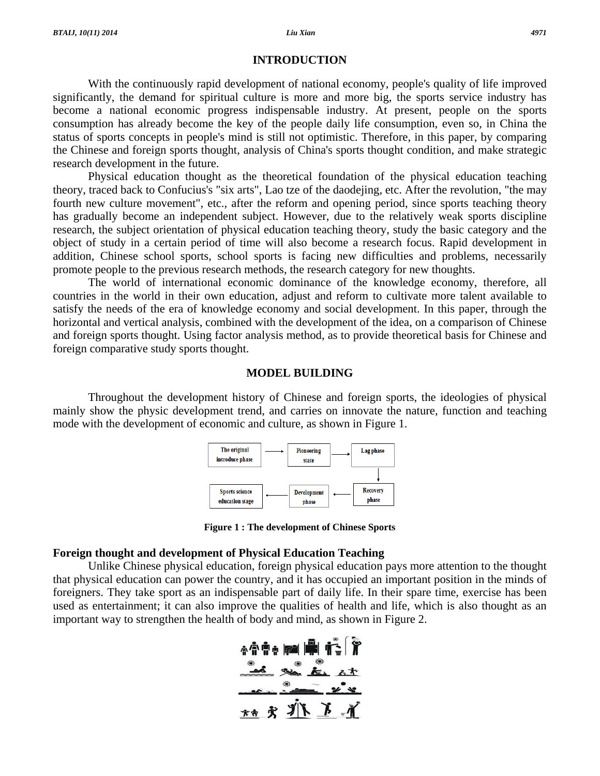#### **INTRODUCTION**

 With the continuously rapid development of national economy, people's quality of life improved significantly, the demand for spiritual culture is more and more big, the sports service industry has become a national economic progress indispensable industry. At present, people on the sports consumption has already become the key of the people daily life consumption, even so, in China the status of sports concepts in people's mind is still not optimistic. Therefore, in this paper, by comparing the Chinese and foreign sports thought, analysis of China's sports thought condition, and make strategic research development in the future.

 Physical education thought as the theoretical foundation of the physical education teaching theory, traced back to Confucius's "six arts", Lao tze of the daodejing, etc. After the revolution, "the may fourth new culture movement", etc., after the reform and opening period, since sports teaching theory has gradually become an independent subject. However, due to the relatively weak sports discipline research, the subject orientation of physical education teaching theory, study the basic category and the object of study in a certain period of time will also become a research focus. Rapid development in addition, Chinese school sports, school sports is facing new difficulties and problems, necessarily promote people to the previous research methods, the research category for new thoughts.

 The world of international economic dominance of the knowledge economy, therefore, all countries in the world in their own education, adjust and reform to cultivate more talent available to satisfy the needs of the era of knowledge economy and social development. In this paper, through the horizontal and vertical analysis, combined with the development of the idea, on a comparison of Chinese and foreign sports thought. Using factor analysis method, as to provide theoretical basis for Chinese and foreign comparative study sports thought.

## **MODEL BUILDING**

 Throughout the development history of Chinese and foreign sports, the ideologies of physical mainly show the physic development trend, and carries on innovate the nature, function and teaching mode with the development of economic and culture, as shown in Figure 1.



**Figure 1 : The development of Chinese Sports** 

# **Foreign thought and development of Physical Education Teaching**

 Unlike Chinese physical education, foreign physical education pays more attention to the thought that physical education can power the country, and it has occupied an important position in the minds of foreigners. They take sport as an indispensable part of daily life. In their spare time, exercise has been used as entertainment; it can also improve the qualities of health and life, which is also thought as an important way to strengthen the health of body and mind, as shown in Figure 2.

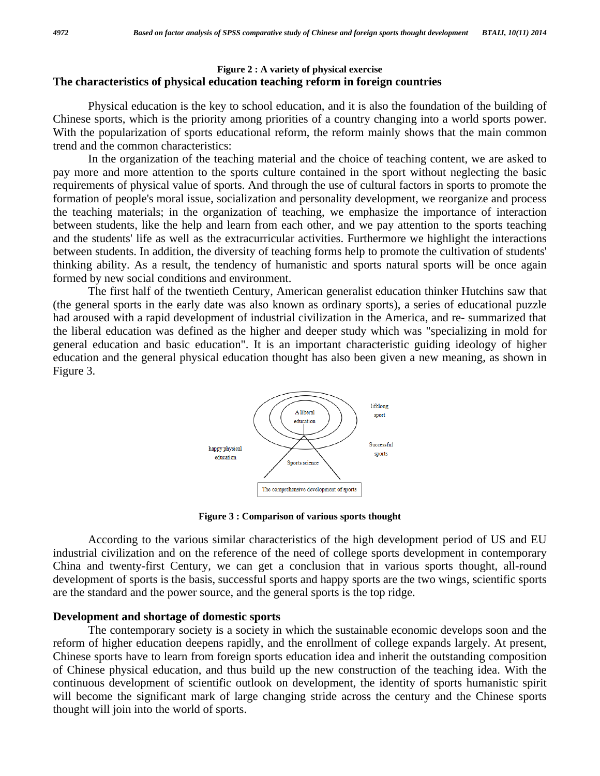# **Figure 2 : A variety of physical exercise The characteristics of physical education teaching reform in foreign countries**

 Physical education is the key to school education, and it is also the foundation of the building of Chinese sports, which is the priority among priorities of a country changing into a world sports power. With the popularization of sports educational reform, the reform mainly shows that the main common trend and the common characteristics:

 In the organization of the teaching material and the choice of teaching content, we are asked to pay more and more attention to the sports culture contained in the sport without neglecting the basic requirements of physical value of sports. And through the use of cultural factors in sports to promote the formation of people's moral issue, socialization and personality development, we reorganize and process the teaching materials; in the organization of teaching, we emphasize the importance of interaction between students, like the help and learn from each other, and we pay attention to the sports teaching and the students' life as well as the extracurricular activities. Furthermore we highlight the interactions between students. In addition, the diversity of teaching forms help to promote the cultivation of students' thinking ability. As a result, the tendency of humanistic and sports natural sports will be once again formed by new social conditions and environment.

 The first half of the twentieth Century, American generalist education thinker Hutchins saw that (the general sports in the early date was also known as ordinary sports), a series of educational puzzle had aroused with a rapid development of industrial civilization in the America, and re- summarized that the liberal education was defined as the higher and deeper study which was "specializing in mold for general education and basic education". It is an important characteristic guiding ideology of higher education and the general physical education thought has also been given a new meaning, as shown in Figure 3.



**Figure 3 : Comparison of various sports thought** 

 According to the various similar characteristics of the high development period of US and EU industrial civilization and on the reference of the need of college sports development in contemporary China and twenty-first Century, we can get a conclusion that in various sports thought, all-round development of sports is the basis, successful sports and happy sports are the two wings, scientific sports are the standard and the power source, and the general sports is the top ridge.

## **Development and shortage of domestic sports**

 The contemporary society is a society in which the sustainable economic develops soon and the reform of higher education deepens rapidly, and the enrollment of college expands largely. At present, Chinese sports have to learn from foreign sports education idea and inherit the outstanding composition of Chinese physical education, and thus build up the new construction of the teaching idea. With the continuous development of scientific outlook on development, the identity of sports humanistic spirit will become the significant mark of large changing stride across the century and the Chinese sports thought will join into the world of sports.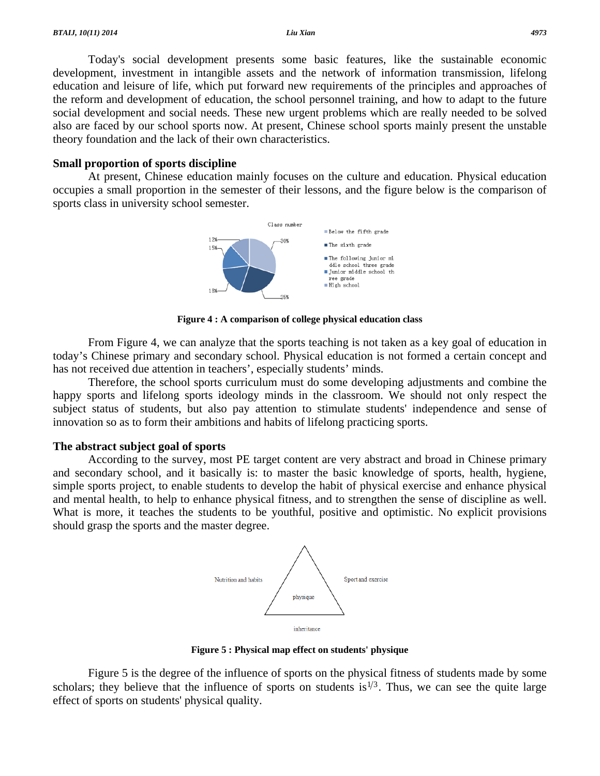Today's social development presents some basic features, like the sustainable economic development, investment in intangible assets and the network of information transmission, lifelong education and leisure of life, which put forward new requirements of the principles and approaches of the reform and development of education, the school personnel training, and how to adapt to the future social development and social needs. These new urgent problems which are really needed to be solved also are faced by our school sports now. At present, Chinese school sports mainly present the unstable theory foundation and the lack of their own characteristics.

#### **Small proportion of sports discipline**

 At present, Chinese education mainly focuses on the culture and education. Physical education occupies a small proportion in the semester of their lessons, and the figure below is the comparison of sports class in university school semester.



**Figure 4 : A comparison of college physical education class** 

 From Figure 4, we can analyze that the sports teaching is not taken as a key goal of education in today's Chinese primary and secondary school. Physical education is not formed a certain concept and has not received due attention in teachers', especially students' minds.

 Therefore, the school sports curriculum must do some developing adjustments and combine the happy sports and lifelong sports ideology minds in the classroom. We should not only respect the subject status of students, but also pay attention to stimulate students' independence and sense of innovation so as to form their ambitions and habits of lifelong practicing sports.

## **The abstract subject goal of sports**

 According to the survey, most PE target content are very abstract and broad in Chinese primary and secondary school, and it basically is: to master the basic knowledge of sports, health, hygiene, simple sports project, to enable students to develop the habit of physical exercise and enhance physical and mental health, to help to enhance physical fitness, and to strengthen the sense of discipline as well. What is more, it teaches the students to be youthful, positive and optimistic. No explicit provisions should grasp the sports and the master degree.



**Figure 5 : Physical map effect on students' physique** 

 Figure 5 is the degree of the influence of sports on the physical fitness of students made by some scholars; they believe that the influence of sports on students is<sup> $1/3$ </sup>. Thus, we can see the quite large effect of sports on students' physical quality.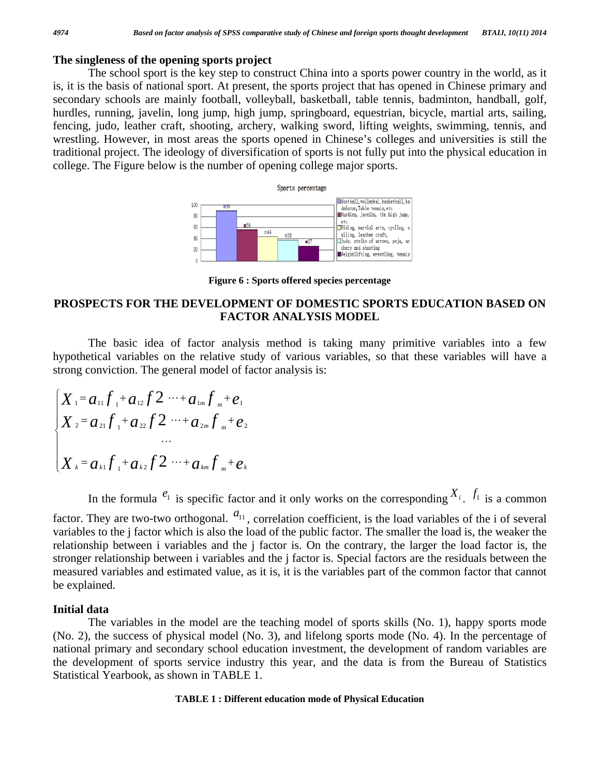## **The singleness of the opening sports project**

 The school sport is the key step to construct China into a sports power country in the world, as it is, it is the basis of national sport. At present, the sports project that has opened in Chinese primary and secondary schools are mainly football, volleyball, basketball, table tennis, badminton, handball, golf, hurdles, running, javelin, long jump, high jump, springboard, equestrian, bicycle, martial arts, sailing, fencing, judo, leather craft, shooting, archery, walking sword, lifting weights, swimming, tennis, and wrestling. However, in most areas the sports opened in Chinese's colleges and universities is still the traditional project. The ideology of diversification of sports is not fully put into the physical education in college. The Figure below is the number of opening college major sports.



**Figure 6 : Sports offered species percentage**

# **PROSPECTS FOR THE DEVELOPMENT OF DOMESTIC SPORTS EDUCATION BASED ON FACTOR ANALYSIS MODEL**

 The basic idea of factor analysis method is taking many primitive variables into a few hypothetical variables on the relative study of various variables, so that these variables will have a strong conviction. The general model of factor analysis is:

$$
\begin{cases}\nX_1 = a_{11}f_1 + a_{12}f_2 \cdots + a_{1m}f_m + e_1 \\
X_2 = a_{21}f_1 + a_{22}f_2 \cdots + a_{2m}f_m + e_2 \\
\vdots \\
X_k = a_{k1}f_1 + a_{k2}f_2 \cdots + a_{km}f_m + e_k\n\end{cases}
$$

In the formula  $e_1$  is specific factor and it only works on the corresponding  $X_i$ .  $f_1$  is a common factor. They are two-two orthogonal.  $a_{11}$ , correlation coefficient, is the load variables of the i of several variables to the j factor which is also the load of the public factor. The smaller the load is, the weaker the relationship between i variables and the j factor is. On the contrary, the larger the load factor is, the stronger relationship between i variables and the j factor is. Special factors are the residuals between the measured variables and estimated value, as it is, it is the variables part of the common factor that cannot be explained.

#### **Initial data**

 The variables in the model are the teaching model of sports skills (No. 1), happy sports mode (No. 2), the success of physical model (No. 3), and lifelong sports mode (No. 4). In the percentage of national primary and secondary school education investment, the development of random variables are the development of sports service industry this year, and the data is from the Bureau of Statistics Statistical Yearbook, as shown in TABLE 1.

#### **TABLE 1 : Different education mode of Physical Education**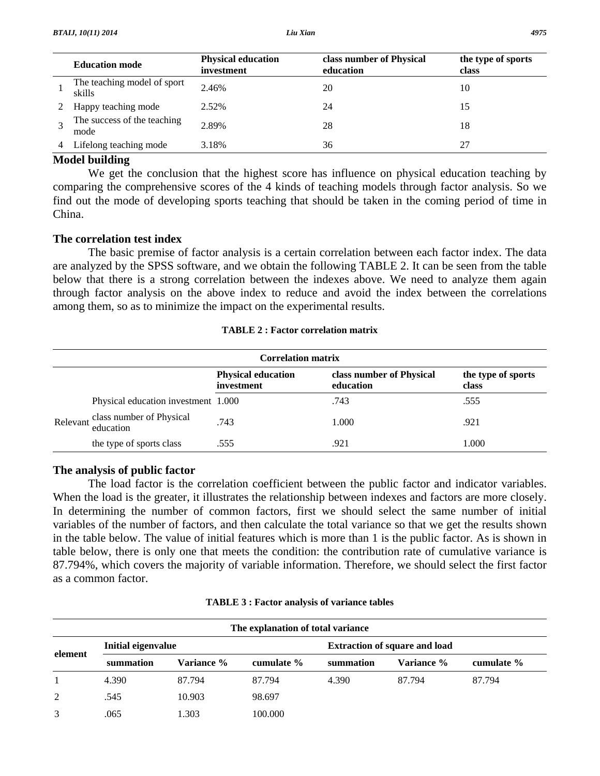| <b>Education mode</b>                 | <b>Physical education</b><br>investment | class number of Physical<br>education | the type of sports<br>class |
|---------------------------------------|-----------------------------------------|---------------------------------------|-----------------------------|
| The teaching model of sport<br>skills | 2.46%                                   | 20                                    | 10                          |
| Happy teaching mode                   | 2.52%                                   | 24                                    | 15                          |
| The success of the teaching<br>mode   | 2.89%                                   | 28                                    | 18                          |
| Lifelong teaching mode                | 3.18%                                   | 36                                    |                             |

## **Model building**

 We get the conclusion that the highest score has influence on physical education teaching by comparing the comprehensive scores of the 4 kinds of teaching models through factor analysis. So we find out the mode of developing sports teaching that should be taken in the coming period of time in China.

# **The correlation test index**

 The basic premise of factor analysis is a certain correlation between each factor index. The data are analyzed by the SPSS software, and we obtain the following TABLE 2. It can be seen from the table below that there is a strong correlation between the indexes above. We need to analyze them again through factor analysis on the above index to reduce and avoid the index between the correlations among them, so as to minimize the impact on the experimental results.

| <b>TABLE 2 : Factor correlation matrix</b> |  |
|--------------------------------------------|--|
|--------------------------------------------|--|

| <b>Correlation matrix</b> |                                                |                                         |                                       |                             |  |
|---------------------------|------------------------------------------------|-----------------------------------------|---------------------------------------|-----------------------------|--|
|                           |                                                | <b>Physical education</b><br>investment | class number of Physical<br>education | the type of sports<br>class |  |
|                           | Physical education investment 1.000            |                                         | .743                                  | .555                        |  |
|                           | Relevant class number of Physical<br>education | .743                                    | 1.000                                 | .921                        |  |
|                           | the type of sports class                       | .555                                    | .921                                  | 1.000                       |  |

# **The analysis of public factor**

 The load factor is the correlation coefficient between the public factor and indicator variables. When the load is the greater, it illustrates the relationship between indexes and factors are more closely. In determining the number of common factors, first we should select the same number of initial variables of the number of factors, and then calculate the total variance so that we get the results shown in the table below. The value of initial features which is more than 1 is the public factor. As is shown in table below, there is only one that meets the condition: the contribution rate of cumulative variance is 87.794%, which covers the majority of variable information. Therefore, we should select the first factor as a common factor.

| The explanation of total variance |                    |            |            |                                      |            |            |
|-----------------------------------|--------------------|------------|------------|--------------------------------------|------------|------------|
|                                   | Initial eigenvalue |            |            | <b>Extraction of square and load</b> |            |            |
| element                           | summation          | Variance % | cumulate % | summation                            | Variance % | cumulate % |
|                                   | 4.390              | 87.794     | 87.794     | 4.390                                | 87.794     | 87.794     |
| 2                                 | .545               | 10.903     | 98.697     |                                      |            |            |
| 3                                 | .065               | 1.303      | 100.000    |                                      |            |            |

**TABLE 3 : Factor analysis of variance tables**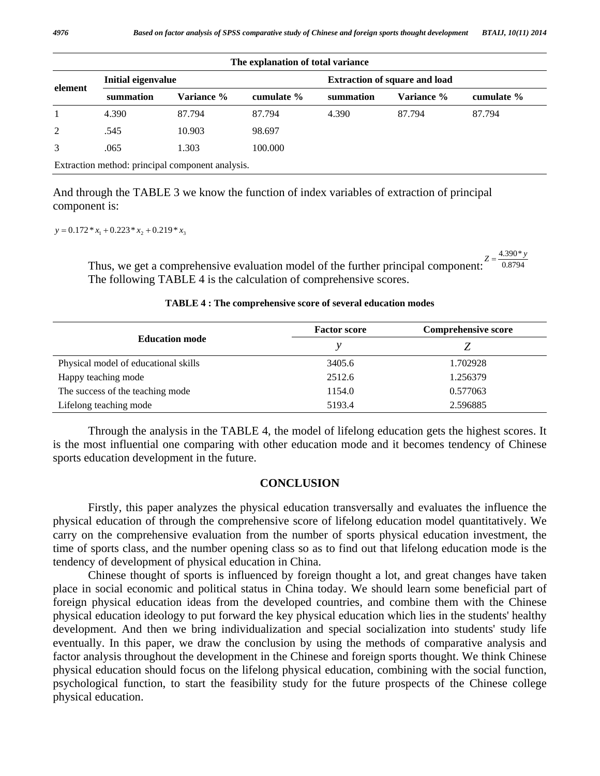| The explanation of total variance |                    |                                                  |            |                                      |            |            |
|-----------------------------------|--------------------|--------------------------------------------------|------------|--------------------------------------|------------|------------|
|                                   | Initial eigenvalue |                                                  |            | <b>Extraction of square and load</b> |            |            |
| element                           | summation          | Variance %                                       | cumulate % | summation                            | Variance % | cumulate % |
|                                   | 4.390              | 87.794                                           | 87.794     | 4.390                                | 87.794     | 87.794     |
| 2                                 | .545               | 10.903                                           | 98.697     |                                      |            |            |
| 3                                 | .065               | 1.303                                            | 100.000    |                                      |            |            |
|                                   |                    | Extraction method: principal component analysis. |            |                                      |            |            |

And through the TABLE 3 we know the function of index variables of extraction of principal component is:

 $y = 0.172 \cdot x_1 + 0.223 \cdot x_2 + 0.219 \cdot x_3$ 

Thus, we get a comprehensive evaluation model of the further principal component:  $\sim 0.8794$  $Z = \frac{4.390 \times y}{9.258 \times y}$ The following TABLE 4 is the calculation of comprehensive scores.

#### **TABLE 4 : The comprehensive score of several education modes**

|                                      | <b>Factor score</b> | <b>Comprehensive score</b> |
|--------------------------------------|---------------------|----------------------------|
| <b>Education mode</b>                |                     |                            |
| Physical model of educational skills | 3405.6              | 1.702928                   |
| Happy teaching mode                  | 2512.6              | 1.256379                   |
| The success of the teaching mode     | 1154.0              | 0.577063                   |
| Lifelong teaching mode               | 5193.4              | 2.596885                   |

 Through the analysis in the TABLE 4, the model of lifelong education gets the highest scores. It is the most influential one comparing with other education mode and it becomes tendency of Chinese sports education development in the future.

#### **CONCLUSION**

 Firstly, this paper analyzes the physical education transversally and evaluates the influence the physical education of through the comprehensive score of lifelong education model quantitatively. We carry on the comprehensive evaluation from the number of sports physical education investment, the time of sports class, and the number opening class so as to find out that lifelong education mode is the tendency of development of physical education in China.

 Chinese thought of sports is influenced by foreign thought a lot, and great changes have taken place in social economic and political status in China today. We should learn some beneficial part of foreign physical education ideas from the developed countries, and combine them with the Chinese physical education ideology to put forward the key physical education which lies in the students' healthy development. And then we bring individualization and special socialization into students' study life eventually. In this paper, we draw the conclusion by using the methods of comparative analysis and factor analysis throughout the development in the Chinese and foreign sports thought. We think Chinese physical education should focus on the lifelong physical education, combining with the social function, psychological function, to start the feasibility study for the future prospects of the Chinese college physical education.